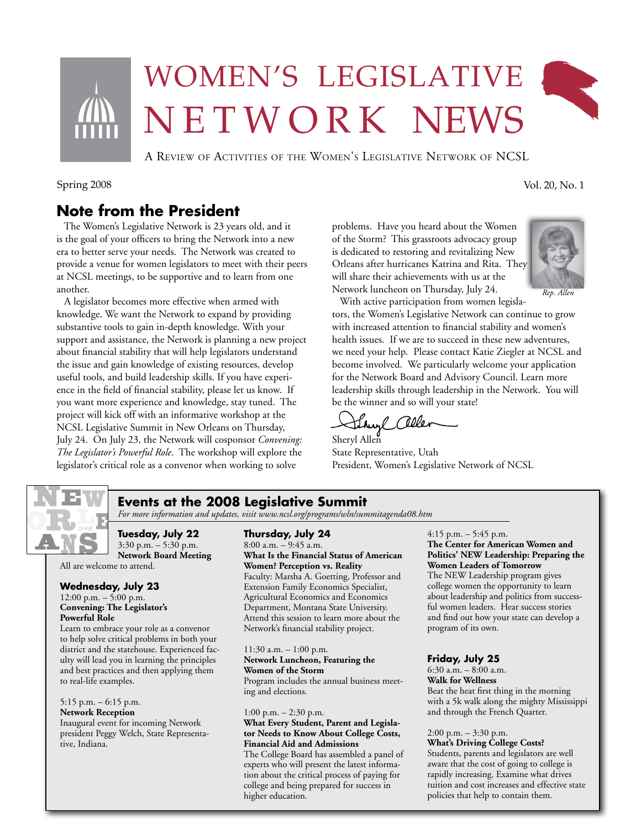

# Women's legislative NETWORK NEWS

A Review of Activities of the Women's Legislative Network of NCSL

Spring 2008 Vol. 20, No. 1

# **Note from the President**

 The Women's Legislative Network is 23 years old, and it is the goal of your officers to bring the Network into a new era to better serve your needs. The Network was created to provide a venue for women legislators to meet with their peers at NCSL meetings, to be supportive and to learn from one another.

 A legislator becomes more effective when armed with knowledge. We want the Network to expand by providing substantive tools to gain in-depth knowledge. With your support and assistance, the Network is planning a new project about financial stability that will help legislators understand the issue and gain knowledge of existing resources, develop useful tools, and build leadership skills. If you have experience in the field of financial stability, please let us know. If you want more experience and knowledge, stay tuned. The project will kick off with an informative workshop at the NCSL Legislative Summit in New Orleans on Thursday, July 24. On July 23, the Network will cosponsor *Convening: The Legislator's Powerful Role*. The workshop will explore the legislator's critical role as a convenor when working to solve

problems. Have you heard about the Women of the Storm? This grassroots advocacy group is dedicated to restoring and revitalizing New Orleans after hurricanes Katrina and Rita. They will share their achievements with us at the Network luncheon on Thursday, July 24.



*Rep. Allen*

 With active participation from women legislators, the Women's Legislative Network can continue to grow with increased attention to financial stability and women's health issues. If we are to succeed in these new adventures, we need your help. Please contact Katie Ziegler at NCSL and become involved. We particularly welcome your application for the Network Board and Advisory Council. Learn more leadership skills through leadership in the Network. You will be the winner and so will your state!

they Celler

Sheryl Allen State Representative, Utah President, Women's Legislative Network of NCSL



## **Events at the 2008 Legislative Summit**

*For more information and updates, visit www.ncsl.org/programs/wln/summitagenda08.htm*

**Tuesday, July 22** 3:30 p.m. – 5:30 p.m. **Network Board Meeting** All are welcome to attend.

### **Wednesday, July 23**

12:00 p.m. – 5:00 p.m. **Convening: The Legislator's Powerful Role** 

Learn to embrace your role as a convenor to help solve critical problems in both your district and the statehouse. Experienced faculty will lead you in learning the principles and best practices and then applying them to real-life examples.

#### 5:15 p.m. – 6:15 p.m. **Network Reception**

Inaugural event for incoming Network president Peggy Welch, State Representative, Indiana.

#### **Thursday, July 24**  $8:00$  a.m.  $-9:45$  a.m. **What Is the Financial Status of American Women? Perception vs. Reality** Faculty: Marsha A. Goetting, Professor and Extension Family Economics Specialist, Agricultural Economics and Economics Department, Montana State University. Attend this session to learn more about the

Network's financial stability project. 11:30 a.m. – 1:00 p.m.

#### **Network Luncheon, Featuring the Women of the Storm** Program includes the annual business meeting and elections.

1:00 p.m. – 2:30 p.m.

### **What Every Student, Parent and Legislator Needs to Know About College Costs, Financial Aid and Admissions**

The College Board has assembled a panel of experts who will present the latest information about the critical process of paying for college and being prepared for success in higher education.

4:15 p.m. – 5:45 p.m. **The Center for American Women and Politics' NEW Leadership: Preparing the Women Leaders of Tomorrow** The NEW Leadership program gives college women the opportunity to learn about leadership and politics from success-

ful women leaders. Hear success stories and find out how your state can develop a program of its own.

### **Friday, July 25**

6:30 a.m. – 8:00 a.m. **Walk for Wellness** Beat the heat first thing in the morning with a 5k walk along the mighty Mississippi and through the French Quarter.

#### 2:00 p.m. – 3:30 p.m. **What's Driving College Costs?**

Students, parents and legislators are well aware that the cost of going to college is rapidly increasing. Examine what drives tuition and cost increases and effective state policies that help to contain them.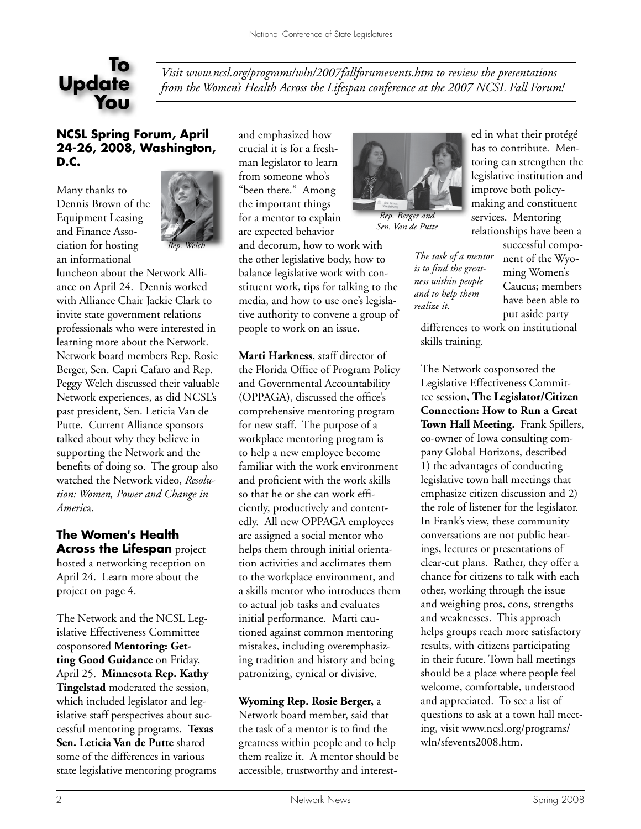

*Visit www.ncsl.org/programs/wln/2007fallforumevents.htm to review the presentations from the Women's Health Across the Lifespan conference at the 2007 NCSL Fall Forum!*

## **NCSL Spring Forum, April 24-26, 2008, Washington, D.C.**

Many thanks to Dennis Brown of the Equipment Leasing and Finance Association for hosting an informational



luncheon about the Network Alliance on April 24. Dennis worked with Alliance Chair Jackie Clark to invite state government relations professionals who were interested in learning more about the Network. Network board members Rep. Rosie Berger, Sen. Capri Cafaro and Rep. Peggy Welch discussed their valuable Network experiences, as did NCSL's past president, Sen. Leticia Van de Putte. Current Alliance sponsors talked about why they believe in supporting the Network and the benefits of doing so. The group also watched the Network video, *Resolution: Women, Power and Change in Americ*a.

### **The Women's Health Across the Lifespan** project

hosted a networking reception on April 24. Learn more about the project on page 4.

The Network and the NCSL Legislative Effectiveness Committee cosponsored **Mentoring: Getting Good Guidance** on Friday, April 25. **Minnesota Rep. Kathy Tingelstad** moderated the session, which included legislator and legislative staff perspectives about successful mentoring programs. **Texas Sen. Leticia Van de Putte** shared some of the differences in various state legislative mentoring programs

and emphasized how crucial it is for a freshman legislator to learn from someone who's "been there." Among the important things for a mentor to explain are expected behavior

and decorum, how to work with the other legislative body, how to balance legislative work with constituent work, tips for talking to the media, and how to use one's legislative authority to convene a group of people to work on an issue.

**Marti Harkness**, staff director of the Florida Office of Program Policy and Governmental Accountability (OPPAGA), discussed the office's comprehensive mentoring program for new staff. The purpose of a workplace mentoring program is to help a new employee become familiar with the work environment and proficient with the work skills so that he or she can work efficiently, productively and contentedly. All new OPPAGA employees are assigned a social mentor who helps them through initial orientation activities and acclimates them to the workplace environment, and a skills mentor who introduces them to actual job tasks and evaluates initial performance. Marti cautioned against common mentoring mistakes, including overemphasizing tradition and history and being patronizing, cynical or divisive.

### **Wyoming Rep. Rosie Berger,** a

Network board member, said that the task of a mentor is to find the greatness within people and to help them realize it. A mentor should be accessible, trustworthy and interest-



*Rep. Berger and Sen. Van de Putte*

*The task of a mentor is to find the greatness within people and to help them realize it.*

ed in what their protégé has to contribute. Mentoring can strengthen the legislative institution and improve both policymaking and constituent services. Mentoring relationships have been a successful compo-

nent of the Wyoming Women's Caucus; members have been able to put aside party

differences to work on institutional skills training.

The Network cosponsored the Legislative Effectiveness Committee session, **The Legislator/Citizen Connection: How to Run a Great Town Hall Meeting.** Frank Spillers, co-owner of Iowa consulting company Global Horizons, described 1) the advantages of conducting legislative town hall meetings that emphasize citizen discussion and 2) the role of listener for the legislator. In Frank's view, these community conversations are not public hearings, lectures or presentations of clear-cut plans. Rather, they offer a chance for citizens to talk with each other, working through the issue and weighing pros, cons, strengths and weaknesses. This approach helps groups reach more satisfactory results, with citizens participating in their future. Town hall meetings should be a place where people feel welcome, comfortable, understood and appreciated. To see a list of questions to ask at a town hall meeting, visit www.ncsl.org/programs/ wln/sfevents2008.htm.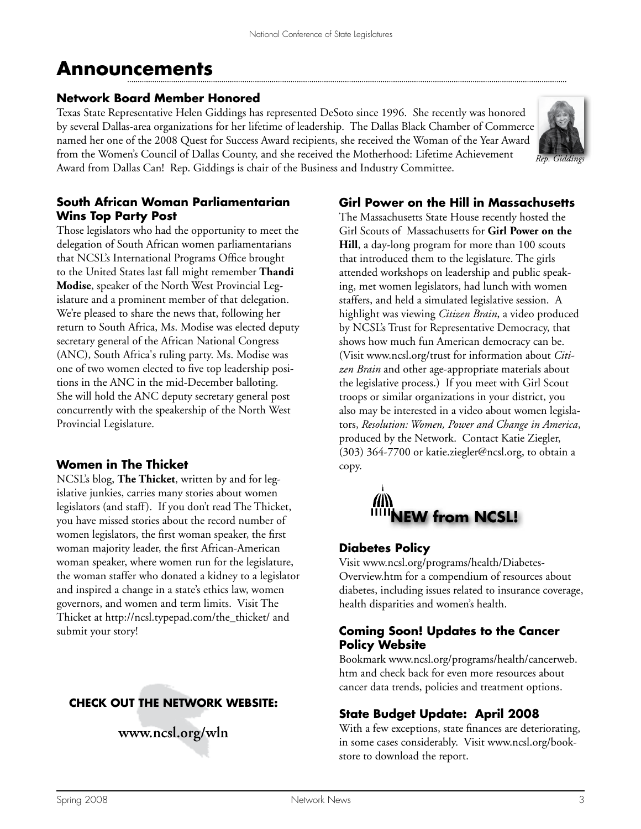# **Announcements**

### **Network Board Member Honored**

Texas State Representative Helen Giddings has represented DeSoto since 1996. She recently was honored by several Dallas-area organizations for her lifetime of leadership. The Dallas Black Chamber of Commerce named her one of the 2008 Quest for Success Award recipients, she received the Woman of the Year Award from the Women's Council of Dallas County, and she received the Motherhood: Lifetime Achievement Award from Dallas Can! Rep. Giddings is chair of the Business and Industry Committee.



## **South African Woman Parliamentarian Wins Top Party Post**

Those legislators who had the opportunity to meet the delegation of South African women parliamentarians that NCSL's International Programs Office brought to the United States last fall might remember **Thandi Modise**, speaker of the North West Provincial Legislature and a prominent member of that delegation. We're pleased to share the news that, following her return to South Africa, Ms. Modise was elected deputy secretary general of the African National Congress (ANC), South Africa's ruling party. Ms. Modise was one of two women elected to five top leadership positions in the ANC in the mid-December balloting. She will hold the ANC deputy secretary general post concurrently with the speakership of the North West Provincial Legislature.

# **Women in The Thicket**

NCSL's blog, **The Thicket**, written by and for legislative junkies, carries many stories about women legislators (and staff). If you don't read The Thicket, you have missed stories about the record number of women legislators, the first woman speaker, the first woman majority leader, the first African-American woman speaker, where women run for the legislature, the woman staffer who donated a kidney to a legislator and inspired a change in a state's ethics law, women governors, and women and term limits. Visit The Thicket at http://ncsl.typepad.com/the\_thicket/ and submit your story!

# **CHECK OUT THE NETWORK WEBSITE:**

# **www.ncsl.org/wln**

### **Girl Power on the Hill in Massachusetts**

The Massachusetts State House recently hosted the Girl Scouts of Massachusetts for **Girl Power on the Hill**, a day-long program for more than 100 scouts that introduced them to the legislature. The girls attended workshops on leadership and public speaking, met women legislators, had lunch with women staffers, and held a simulated legislative session. A highlight was viewing *Citizen Brain*, a video produced by NCSL's Trust for Representative Democracy, that shows how much fun American democracy can be. (Visit www.ncsl.org/trust for information about *Citizen Brain* and other age-appropriate materials about the legislative process.) If you meet with Girl Scout troops or similar organizations in your district, you also may be interested in a video about women legislators, *Resolution: Women, Power and Change in America*, produced by the Network. Contact Katie Ziegler, (303) 364-7700 or katie.ziegler@ncsl.org, to obtain a copy.



## **Diabetes Policy**

Visit www.ncsl.org/programs/health/Diabetes-Overview.htm for a compendium of resources about diabetes, including issues related to insurance coverage, health disparities and women's health.

## **Coming Soon! Updates to the Cancer Policy Website**

Bookmark www.ncsl.org/programs/health/cancerweb. htm and check back for even more resources about cancer data trends, policies and treatment options.

# **State Budget Update: April 2008**

With a few exceptions, state finances are deteriorating, in some cases considerably. Visit www.ncsl.org/bookstore to download the report.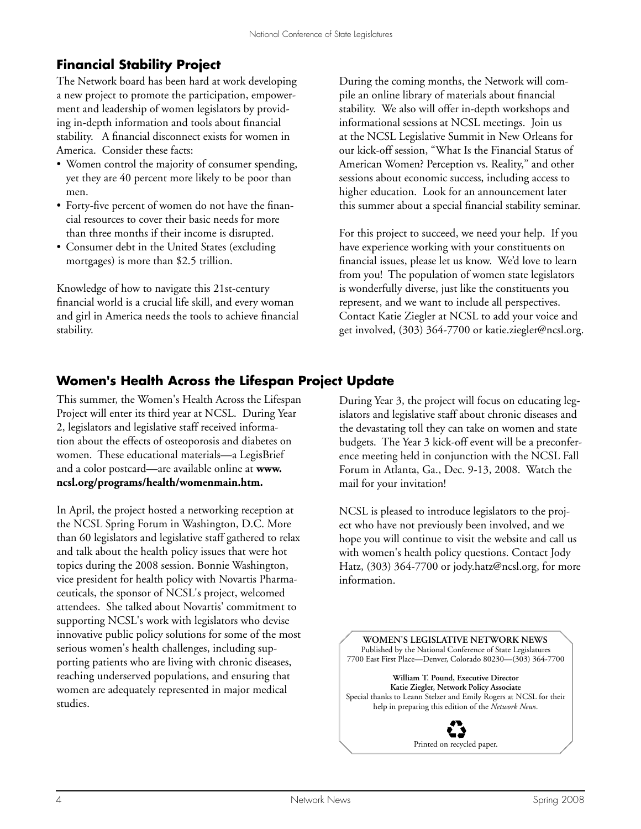# **Financial Stability Project**

The Network board has been hard at work developing a new project to promote the participation, empowerment and leadership of women legislators by providing in-depth information and tools about financial stability. A financial disconnect exists for women in America. Consider these facts:

- Women control the majority of consumer spending, yet they are 40 percent more likely to be poor than men.
- Forty-five percent of women do not have the financial resources to cover their basic needs for more than three months if their income is disrupted.
- Consumer debt in the United States (excluding mortgages) is more than \$2.5 trillion.

Knowledge of how to navigate this 21st-century financial world is a crucial life skill, and every woman and girl in America needs the tools to achieve financial stability.

During the coming months, the Network will compile an online library of materials about financial stability. We also will offer in-depth workshops and informational sessions at NCSL meetings. Join us at the NCSL Legislative Summit in New Orleans for our kick-off session, "What Is the Financial Status of American Women? Perception vs. Reality," and other sessions about economic success, including access to higher education. Look for an announcement later this summer about a special financial stability seminar.

For this project to succeed, we need your help. If you have experience working with your constituents on financial issues, please let us know. We'd love to learn from you! The population of women state legislators is wonderfully diverse, just like the constituents you represent, and we want to include all perspectives. Contact Katie Ziegler at NCSL to add your voice and get involved, (303) 364-7700 or katie.ziegler@ncsl.org.

# **Women's Health Across the Lifespan Project Update**

This summer, the Women's Health Across the Lifespan Project will enter its third year at NCSL. During Year 2, legislators and legislative staff received information about the effects of osteoporosis and diabetes on women. These educational materials—a LegisBrief and a color postcard—are available online at **www. ncsl.org/programs/health/womenmain.htm.** 

In April, the project hosted a networking reception at the NCSL Spring Forum in Washington, D.C. More than 60 legislators and legislative staff gathered to relax and talk about the health policy issues that were hot topics during the 2008 session. Bonnie Washington, vice president for health policy with Novartis Pharmaceuticals, the sponsor of NCSL's project, welcomed attendees. She talked about Novartis' commitment to supporting NCSL's work with legislators who devise innovative public policy solutions for some of the most serious women's health challenges, including supporting patients who are living with chronic diseases, reaching underserved populations, and ensuring that women are adequately represented in major medical studies.

During Year 3, the project will focus on educating legislators and legislative staff about chronic diseases and the devastating toll they can take on women and state budgets. The Year 3 kick-off event will be a preconference meeting held in conjunction with the NCSL Fall Forum in Atlanta, Ga., Dec. 9-13, 2008. Watch the mail for your invitation!

NCSL is pleased to introduce legislators to the project who have not previously been involved, and we hope you will continue to visit the website and call us with women's health policy questions. Contact Jody Hatz, (303) 364-7700 or jody.hatz@ncsl.org, for more information.

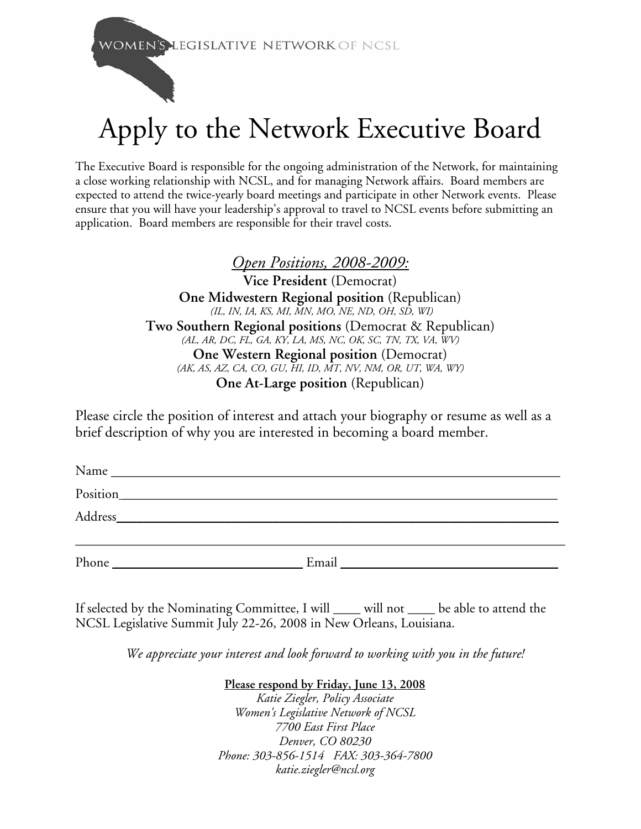**WOMEN'S LEGISLATIVE NETWORK OF NCSL** 

# Apply to the Network Executive Board

The Executive Board is responsible for the ongoing administration of the Network, for maintaining a close working relationship with NCSL, and for managing Network affairs. Board members are expected to attend the twice-yearly board meetings and participate in other Network events. Please ensure that you will have your leadership's approval to travel to NCSL events before submitting an application. Board members are responsible for their travel costs.

# *Open Positions, 2008-2009:*

**Vice President** (Democrat) **One Midwestern Regional position** (Republican)  *(IL, IN, IA, KS, MI, MN, MO, NE, ND, OH, SD, WI)*  **Two Southern Regional positions** (Democrat & Republican) *(AL, AR, DC, FL, GA, KY, LA, MS, NC, OK, SC, TN, TX, VA, WV)*  **One Western Regional position** (Democrat) *(AK, AS, AZ, CA, CO, GU, HI, ID, MT, NV, NM, OR, UT, WA, WY)* **One At-Large position** (Republican)

Please circle the position of interest and attach your biography or resume as well as a brief description of why you are interested in becoming a board member.

| $Name \nightharpoonup$ |          |                                                       |
|------------------------|----------|-------------------------------------------------------|
|                        | Position |                                                       |
|                        |          |                                                       |
|                        |          |                                                       |
| Phone                  | Email    | <u> 1989 - Johann Stein, fransk politik (f. 1989)</u> |

If selected by the Nominating Committee, I will \_\_\_\_ will not \_\_\_\_ be able to attend the NCSL Legislative Summit July 22-26, 2008 in New Orleans, Louisiana.

*We appreciate your interest and look forward to working with you in the future!*

## **Please respond by Friday, June 13, 2008**

*Katie Ziegler, Policy Associate Women's Legislative Network of NCSL 7700 East First Place Denver, CO 80230 Phone: 303-856-1514 FAX: 303-364-7800 katie.ziegler@ncsl.org*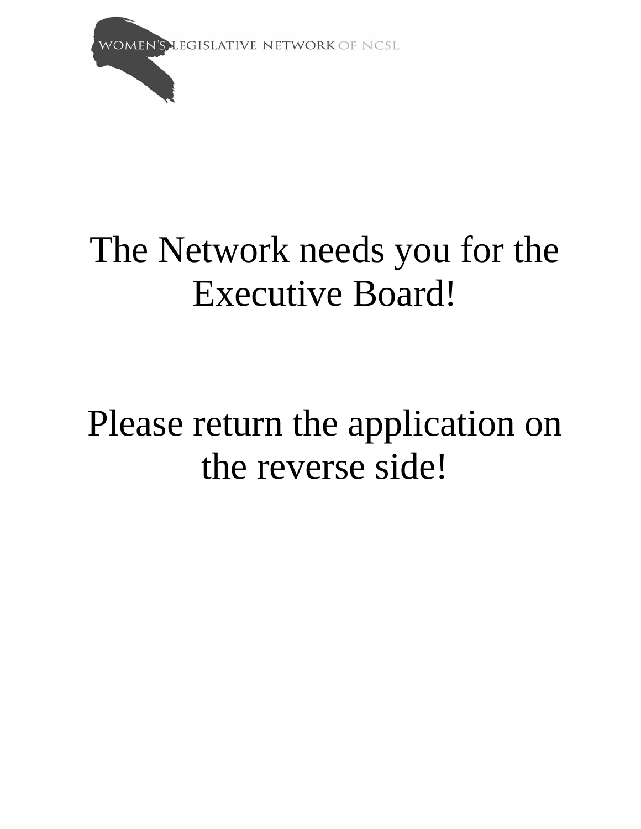**WOMEN'S LEGISLATIVE NETWORK OF NCSL** 

# The Network needs you for the Executive Board!

# Please return the application on the reverse side!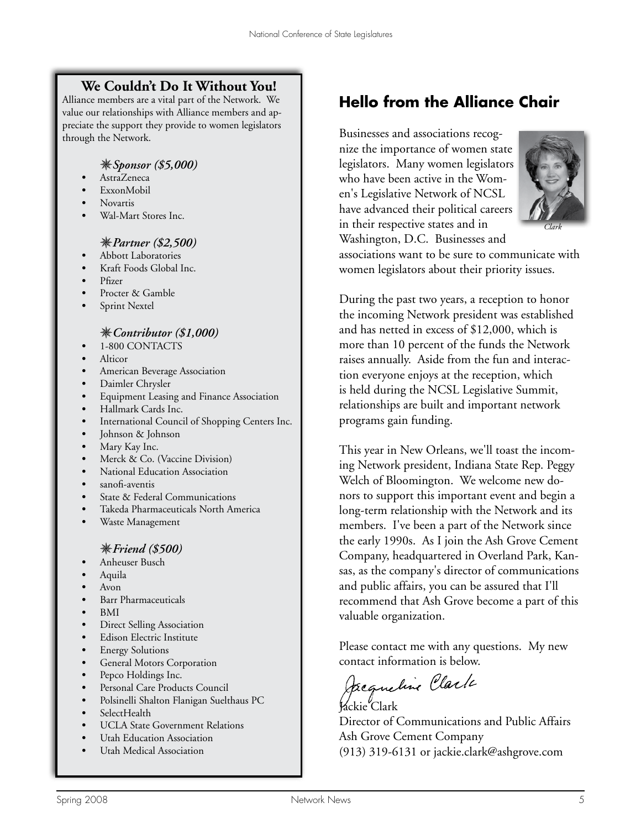# **We Couldn't Do It Without You!**

Alliance members are a vital part of the Network. We value our relationships with Alliance members and appreciate the support they provide to women legislators through the Network.

### *Sponsor (\$5,000)*

- *•* AstraZeneca
- *•* ExxonMobil
- *•* Novartis
- *•* Wal-Mart Stores Inc.

### *Partner (\$2,500)*

- *•* Abbott Laboratories
- *•* Kraft Foods Global Inc.
- *•* Pfizer
- *•* Procter & Gamble
- *•* Sprint Nextel

### *Contributor (\$1,000)*

- *•* 1-800 CONTACTS
- *•* Alticor
- *•* American Beverage Association
- *•* Daimler Chrysler
- Equipment Leasing and Finance Association
- *•* Hallmark Cards Inc.
- International Council of Shopping Centers Inc.
- *•* Johnson & Johnson
- Mary Kay Inc.
- Merck & Co. (Vaccine Division)
- *•* National Education Association
- *•* sanofi-aventis
- **State & Federal Communications**
- *•* Takeda Pharmaceuticals North America
- Waste Management

## *Friend (\$500)*

- Anheuser Busch
- Aquila
- *•* Avon
- *•* Barr Pharmaceuticals
- *•* BMI
- **Direct Selling Association**
- *•* Edison Electric Institute
- Energy Solutions
- *•* General Motors Corporation
- *•* Pepco Holdings Inc.
- Personal Care Products Council
- Polsinelli Shalton Flanigan Suelthaus PC
- SelectHealth
- UCLA State Government Relations
- *Utah Education Association*
- Utah Medical Association

# **Hello from the Alliance Chair**

Businesses and associations recognize the importance of women state legislators. Many women legislators who have been active in the Women's Legislative Network of NCSL have advanced their political careers in their respective states and in Washington, D.C. Businesses and



*Clark*

associations want to be sure to communicate with women legislators about their priority issues.

During the past two years, a reception to honor the incoming Network president was established and has netted in excess of \$12,000, which is more than 10 percent of the funds the Network raises annually. Aside from the fun and interaction everyone enjoys at the reception, which is held during the NCSL Legislative Summit, relationships are built and important network programs gain funding.

This year in New Orleans, we'll toast the incoming Network president, Indiana State Rep. Peggy Welch of Bloomington. We welcome new donors to support this important event and begin a long-term relationship with the Network and its members. I've been a part of the Network since the early 1990s. As I join the Ash Grove Cement Company, headquartered in Overland Park, Kansas, as the company's director of communications and public affairs, you can be assured that I'll recommend that Ash Grove become a part of this valuable organization.

Please contact me with any questions. My new contact information is below.

Jacqueline Clark Jackie Clark

Director of Communications and Public Affairs Ash Grove Cement Company (913) 319-6131 or jackie.clark@ashgrove.com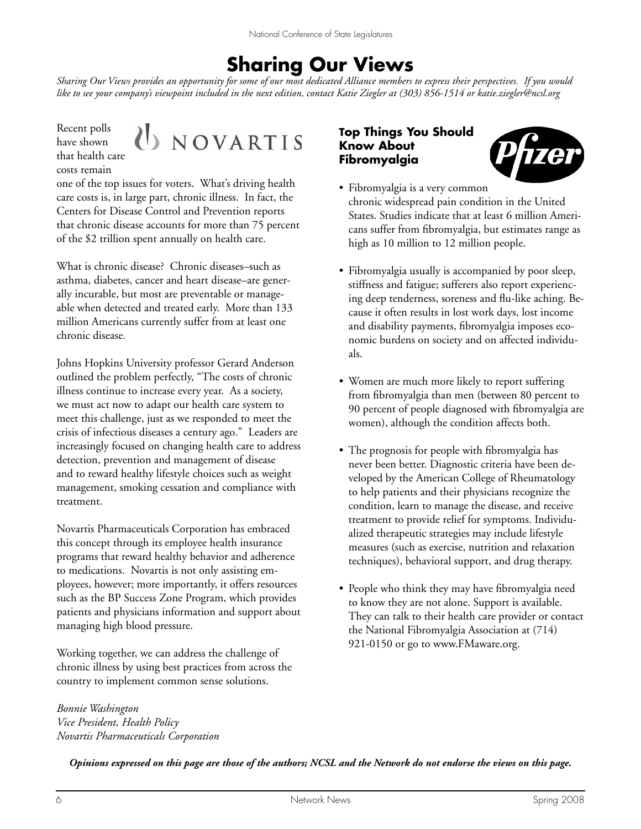# **Sharing Our Views**

*Sharing Our Views provides an opportunity for some of our most dedicated Alliance members to express their perspectives. If you would like to see your company's viewpoint included in the next edition, contact Katie Ziegler at (303) 856-1514 or katie.ziegler@ncsl.org* 

Recent polls have shown that health care costs remain



one of the top issues for voters. What's driving health care costs is, in large part, chronic illness. In fact, the Centers for Disease Control and Prevention reports that chronic disease accounts for more than 75 percent of the \$2 trillion spent annually on health care.

What is chronic disease? Chronic diseases–such as asthma, diabetes, cancer and heart disease–are generally incurable, but most are preventable or manageable when detected and treated early. More than 133 million Americans currently suffer from at least one chronic disease.

Johns Hopkins University professor Gerard Anderson outlined the problem perfectly, "The costs of chronic illness continue to increase every year. As a society, we must act now to adapt our health care system to meet this challenge, just as we responded to meet the crisis of infectious diseases a century ago." Leaders are increasingly focused on changing health care to address detection, prevention and management of disease and to reward healthy lifestyle choices such as weight management, smoking cessation and compliance with treatment.

Novartis Pharmaceuticals Corporation has embraced this concept through its employee health insurance programs that reward healthy behavior and adherence to medications. Novartis is not only assisting employees, however; more importantly, it offers resources such as the BP Success Zone Program, which provides patients and physicians information and support about managing high blood pressure.

Working together, we can address the challenge of chronic illness by using best practices from across the country to implement common sense solutions.

*Bonnie Washington Vice President, Health Policy Novartis Pharmaceuticals Corporation*

### **Top Things You Should Know About Fibromyalgia**



- Fibromyalgia is a very common chronic widespread pain condition in the United States. Studies indicate that at least 6 million Americans suffer from fibromyalgia, but estimates range as high as 10 million to 12 million people.
- Fibromyalgia usually is accompanied by poor sleep, stiffness and fatigue; sufferers also report experiencing deep tenderness, soreness and flu-like aching. Because it often results in lost work days, lost income and disability payments, fibromyalgia imposes economic burdens on society and on affected individuals.
- Women are much more likely to report suffering from fibromyalgia than men (between 80 percent to 90 percent of people diagnosed with fibromyalgia are women), although the condition affects both.
- The prognosis for people with fibromyalgia has never been better. Diagnostic criteria have been developed by the American College of Rheumatology to help patients and their physicians recognize the condition, learn to manage the disease, and receive treatment to provide relief for symptoms. Individualized therapeutic strategies may include lifestyle measures (such as exercise, nutrition and relaxation techniques), behavioral support, and drug therapy.
- People who think they may have fibromyalgia need to know they are not alone. Support is available. They can talk to their health care provider or contact the National Fibromyalgia Association at (714) 921-0150 or go to www.FMaware.org.

*Opinions expressed on this page are those of the authors; NCSL and the Network do not endorse the views on this page.*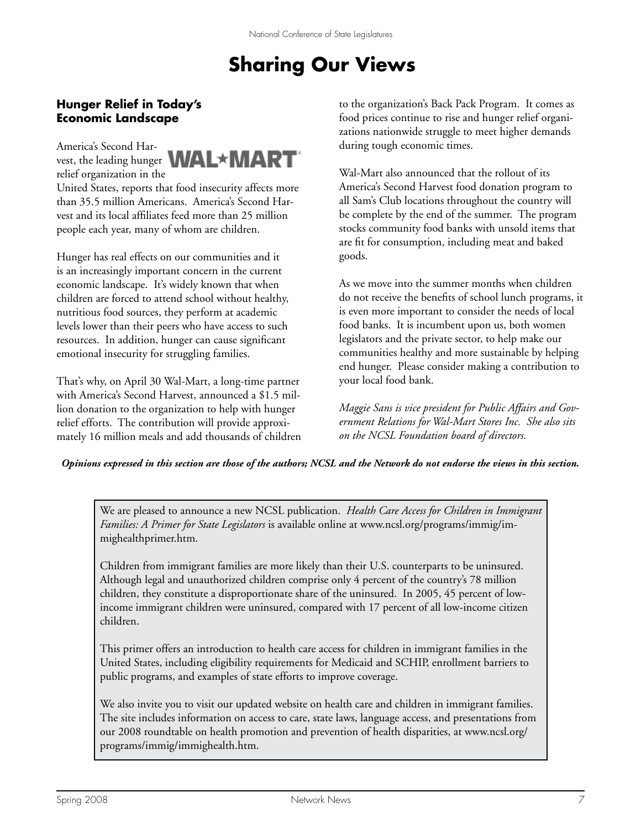# **Sharing Our Views**

## **Hunger Relief in Today's Economic Landscape**

America's Second Harrelief organization in the



United States, reports that food insecurity affects more than 35.5 million Americans. America's Second Harvest and its local affiliates feed more than 25 million people each year, many of whom are children.

Hunger has real effects on our communities and it is an increasingly important concern in the current economic landscape. It's widely known that when children are forced to attend school without healthy, nutritious food sources, they perform at academic levels lower than their peers who have access to such resources. In addition, hunger can cause significant emotional insecurity for struggling families.

That's why, on April 30 Wal-Mart, a long-time partner with America's Second Harvest, announced a \$1.5 million donation to the organization to help with hunger relief efforts. The contribution will provide approximately 16 million meals and add thousands of children to the organization's Back Pack Program. It comes as food prices continue to rise and hunger relief organizations nationwide struggle to meet higher demands during tough economic times.

Wal-Mart also announced that the rollout of its America's Second Harvest food donation program to all Sam's Club locations throughout the country will be complete by the end of the summer. The program stocks community food banks with unsold items that are fit for consumption, including meat and baked goods.

As we move into the summer months when children do not receive the benefits of school lunch programs, it is even more important to consider the needs of local food banks. It is incumbent upon us, both women legislators and the private sector, to help make our communities healthy and more sustainable by helping end hunger. Please consider making a contribution to your local food bank.

*Maggie Sans is vice president for Public Affairs and Government Relations for Wal-Mart Stores Inc. She also sits on the NCSL Foundation board of directors.*

*Opinions expressed in this section are those of the authors; NCSL and the Network do not endorse the views in this section.*

We are pleased to announce a new NCSL publication. *Health Care Access for Children in Immigrant Families: A Primer for State Legislators* is available online at www.ncsl.org/programs/immig/immighealthprimer.htm.

Children from immigrant families are more likely than their U.S. counterparts to be uninsured. Although legal and unauthorized children comprise only 4 percent of the country's 78 million children, they constitute a disproportionate share of the uninsured. In 2005, 45 percent of lowincome immigrant children were uninsured, compared with 17 percent of all low-income citizen children.

This primer offers an introduction to health care access for children in immigrant families in the United States, including eligibility requirements for Medicaid and SCHIP, enrollment barriers to public programs, and examples of state efforts to improve coverage.

We also invite you to visit our updated website on health care and children in immigrant families. The site includes information on access to care, state laws, language access, and presentations from our 2008 roundtable on health promotion and prevention of health disparities, at www.ncsl.org/ programs/immig/immighealth.htm.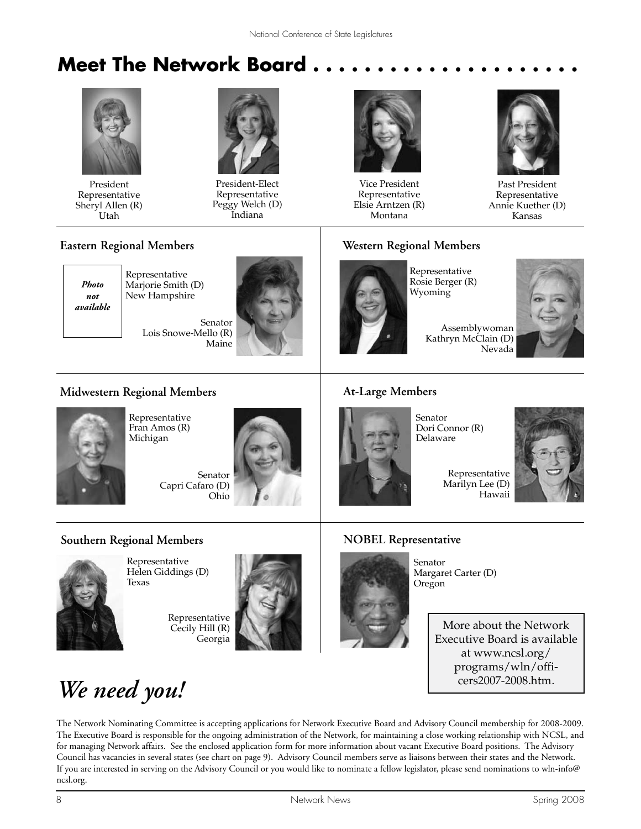# **Meet The Network Board.**



President Representative Sheryl Allen (R) Utah



President-Elect Representative Peggy Welch (D) Indiana



Vice President Representative Elsie Arntzen (R) Montana



Past President Representative Annie Kuether (D) Kansas

### **Eastern Regional Members**



Representative Marjorie Smith (D) New Hampshire

> Senator Lois Snowe-Mello (R) Maine



# **Western Regional Members**



Representative Rosie Berger (R) Wyoming

> Assemblywoman Kathryn McClain (D) Nevada



## **Midwestern Regional Members**

**Southern Regional Members**



Representative Fran Amos (R) Michigan

> Senator Capri Cafaro (D) Ohio



### **At-Large Members**

Senator Dori Connor (R) Delaware



Marilyn Lee (D) Hawaii

# **NOBEL Representative**



Representative Helen Giddings (D) Texas

Representative Cecily Hill (R) Georgia





Senator Margaret Carter (D) Oregon

> More about the Network Executive Board is available at www.ncsl.org/ programs/wln/officers2007-2008.htm.

# *We need you!*

The Network Nominating Committee is accepting applications for Network Executive Board and Advisory Council membership for 2008-2009. The Executive Board is responsible for the ongoing administration of the Network, for maintaining a close working relationship with NCSL, and for managing Network affairs. See the enclosed application form for more information about vacant Executive Board positions. The Advisory Council has vacancies in several states (see chart on page 9). Advisory Council members serve as liaisons between their states and the Network. If you are interested in serving on the Advisory Council or you would like to nominate a fellow legislator, please send nominations to wln-info@ ncsl.org.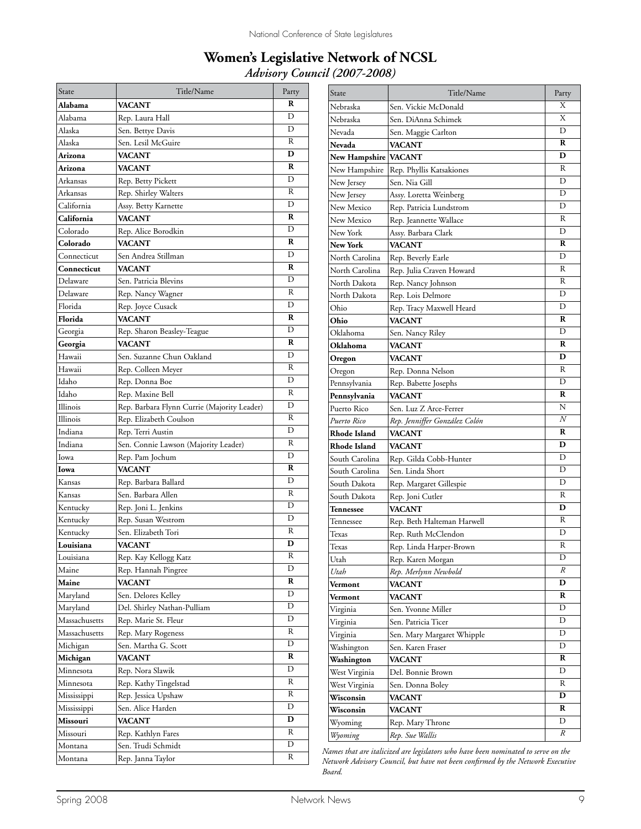# **Women's Legislative Network of NCSL** *Advisory Council (2007-2008)*

| State         | Title/Name                                  | Party |
|---------------|---------------------------------------------|-------|
| Alabama       | <b>VACANT</b>                               | R     |
| Alabama       | Rep. Laura Hall                             | D     |
| Alaska        | Sen. Bettye Davis                           | D     |
| Alaska        | Sen. Lesil McGuire                          | R     |
| Arizona       | <b>VACANT</b>                               | D     |
| Arizona       | <b>VACANT</b>                               | R     |
| Arkansas      | Rep. Betty Pickett                          | D     |
| Arkansas      | Rep. Shirley Walters                        | R     |
| California    | Assy. Betty Karnette                        | D     |
| California    | <b>VACANT</b>                               | R     |
| Colorado      | Rep. Alice Borodkin                         | D     |
| Colorado      | <b>VACANT</b>                               | R     |
| Connecticut   | Sen Andrea Stillman                         | D     |
| Connecticut   | <b>VACANT</b>                               | R     |
| Delaware      | Sen. Patricia Blevins                       | D     |
| Delaware      | Rep. Nancy Wagner                           | R     |
| Florida       | Rep. Joyce Cusack                           | D     |
| Florida       | VACANT                                      | R     |
| Georgia       | Rep. Sharon Beasley-Teague                  | D     |
| Georgia       | <b>VACANT</b>                               | R     |
| Hawaii        | Sen. Suzanne Chun Oakland                   | D     |
| Hawaii        | Rep. Colleen Meyer                          | R     |
| Idaho         | Rep. Donna Boe                              | D     |
| Idaho         | Rep. Maxine Bell                            | R     |
| Illinois      | Rep. Barbara Flynn Currie (Majority Leader) | D     |
| Illinois      | Rep. Elizabeth Coulson                      | R     |
| Indiana       | Rep. Terri Austin                           | D     |
| Indiana       | Sen. Connie Lawson (Majority Leader)        | R     |
| Iowa          | Rep. Pam Jochum                             | D     |
| Iowa          | VACANT                                      | R     |
| Kansas        | Rep. Barbara Ballard                        | D     |
| Kansas        | Sen. Barbara Allen                          | R     |
| Kentucky      | Rep. Joni L. Jenkins                        | D     |
| Kentucky      | Rep. Susan Westrom                          | D     |
| Kentucky      | Sen. Elizabeth Tori                         | R     |
| Louisiana     | VACANT                                      | D     |
| Louisiana     | Rep. Kay Kellogg Katz                       | R     |
| Maine         | Rep. Hannah Pingree                         | D     |
| Maine         | <b>VACANT</b>                               | R     |
| Maryland      | Sen. Delores Kelley                         | D     |
| Maryland      | Del. Shirley Nathan-Pulliam                 | D     |
| Massachusetts | Rep. Marie St. Fleur                        | D     |
| Massachusetts | Rep. Mary Rogeness                          | R     |
| Michigan      | Sen. Martha G. Scott                        | D     |
| Michigan      | VACANT                                      | R     |
| Minnesota     | Rep. Nora Slawik                            | D     |
| Minnesota     | Rep. Kathy Tingelstad                       | R     |
| Mississippi   | Rep. Jessica Upshaw                         | R     |
| Mississippi   | Sen. Alice Harden                           | D     |
| Missouri      | VACANT                                      | D     |
| Missouri      | Rep. Kathlyn Fares                          | R     |
| Montana       | Sen. Trudi Schmidt                          | D     |
| Montana       | Rep. Janna Taylor                           | R     |

| State                  | Title/Name                    | Party |
|------------------------|-------------------------------|-------|
| Nebraska               | Sen. Vickie McDonald          | Χ     |
| Nebraska               | Sen. DiAnna Schimek           | Χ     |
| Nevada                 | Sen. Maggie Carlton           | D     |
| Nevada                 | VACANT                        | R     |
| New Hampshire   VACANT |                               | D     |
| New Hampshire          | Rep. Phyllis Katsakiones      | R     |
| New Jersey             | Sen. Nia Gill                 | D     |
| New Jersey             | Assy. Loretta Weinberg        | D     |
| New Mexico             | Rep. Patricia Lundstrom       | D     |
| New Mexico             | Rep. Jeannette Wallace        | R     |
| New York               | Assy. Barbara Clark           | D     |
| New York               | <b>VACANT</b>                 | R     |
| North Carolina         | Rep. Beverly Earle            | D     |
| North Carolina         | Rep. Julia Craven Howard      | R     |
| North Dakota           | Rep. Nancy Johnson            | R     |
| North Dakota           | Rep. Lois Delmore             | D     |
| Ohio                   | Rep. Tracy Maxwell Heard      | D     |
| Ohio                   | VACANT                        | R     |
| Oklahoma               | Sen. Nancy Riley              | D     |
| Oklahoma               | VACANT                        | R     |
| Oregon                 | VACANT                        | D     |
| Oregon                 | Rep. Donna Nelson             | R     |
| Pennsylvania           | Rep. Babette Josephs          | D     |
| Pennsylvania           | VACANT                        | R     |
| Puerto Rico            | Sen. Luz Z Arce-Ferrer        | N     |
| Puerto Rico            | Rep. Jenniffer González Colón | N     |
| Rhode Island           | <b>VACANT</b>                 | R     |
| Rhode Island           | VACANT                        | D     |
| South Carolina         | Rep. Gilda Cobb-Hunter        | D     |
| South Carolina         | Sen. Linda Short              | D     |
| South Dakota           | Rep. Margaret Gillespie       | D     |
| South Dakota           | Rep. Joni Cutler              | R     |
| Tennessee              | VACANT                        | D     |
| Tennessee              | Rep. Beth Halteman Harwell    | R     |
| Texas                  | Rep. Ruth McClendon           | D     |
| Texas                  | Rep. Linda Harper-Brown       | R     |
| Utah                   | Rep. Karen Morgan             | D     |
| Utah                   | Rep. Merlynn Newbold          | R     |
| Vermont                | VACANT                        | D     |
| Vermont                | VACANT                        | R     |
| Virginia               | Sen. Yvonne Miller            | D     |
| Virginia               | Sen. Patricia Ticer           | D     |
| Virginia               | Sen. Mary Margaret Whipple    | D     |
| Washington             | Sen. Karen Fraser             | D     |
| Washington             | VACANT                        | R     |
| West Virginia          | Del. Bonnie Brown             | D     |
| West Virginia          | Sen. Donna Boley              | R     |
| Wisconsin              | <b>VACANT</b>                 | D     |
| Wisconsin              | VACANT                        | R     |
| Wyoming                | Rep. Mary Throne              | D     |
| Wyoming                | Rep. Sue Wallis               | R     |

*Names that are italicized are legislators who have been nominated to serve on the Network Advisory Council, but have not been confirmed by the Network Executive Board.*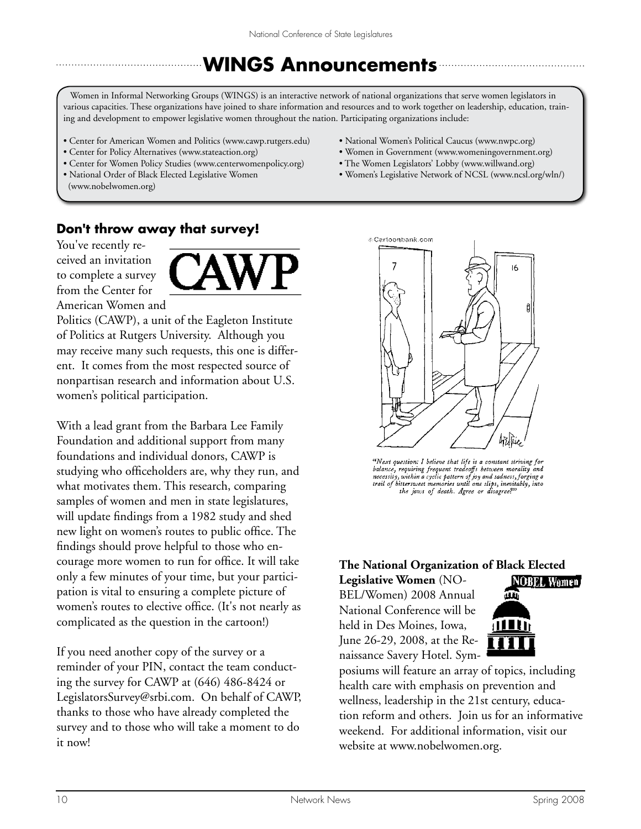# **WINGS Announcements**

Women in Informal Networking Groups (WINGS) is an interactive network of national organizations that serve women legislators in various capacities. These organizations have joined to share information and resources and to work together on leadership, education, training and development to empower legislative women throughout the nation. Participating organizations include:

- Center for American Women and Politics (www.cawp.rutgers.edu)
- Center for Policy Alternatives (www.stateaction.org)
- Center for Women Policy Studies (www.centerwomenpolicy.org)
- National Order of Black Elected Legislative Women (www.nobelwomen.org)
- National Women's Political Caucus (www.nwpc.org)
- Women in Government (www.womeningovernment.org)
- The Women Legislators' Lobby (www.willwand.org)
- Women's Legislative Network of NCSL (www.ncsl.org/wln/)

# **Don't throw away that survey!**

You've recently received an invitation to complete a survey from the Center for American Women and



Politics (CAWP), a unit of the Eagleton Institute of Politics at Rutgers University. Although you may receive many such requests, this one is different. It comes from the most respected source of nonpartisan research and information about U.S. women's political participation.

With a lead grant from the Barbara Lee Family Foundation and additional support from many foundations and individual donors, CAWP is studying who officeholders are, why they run, and what motivates them. This research, comparing samples of women and men in state legislatures, will update findings from a 1982 study and shed new light on women's routes to public office. The findings should prove helpful to those who encourage more women to run for office. It will take only a few minutes of your time, but your participation is vital to ensuring a complete picture of women's routes to elective office. (It's not nearly as complicated as the question in the cartoon!)

If you need another copy of the survey or a reminder of your PIN, contact the team conducting the survey for CAWP at (646) 486-8424 or LegislatorsSurvey@srbi.com. On behalf of CAWP, thanks to those who have already completed the survey and to those who will take a moment to do it now!



"Next question: I believe that life is a constant striving for balance, requiring frequent tradeoffs between morality and<br>necessity, within a cyclic pattern of joy and sadness, forging a<br>trail of bittersweet memories until one slips, inevitably, into the jaws of death. Agree or disagree?"

# **The National Organization of Black Elected**

**Legislative Women** (NO-BEL/Women) 2008 Annual National Conference will be held in Des Moines, Iowa, June 26-29, 2008, at the Renaissance Savery Hotel. Sym-



posiums will feature an array of topics, including health care with emphasis on prevention and wellness, leadership in the 21st century, education reform and others. Join us for an informative weekend. For additional information, visit our website at www.nobelwomen.org.

Spring 2008